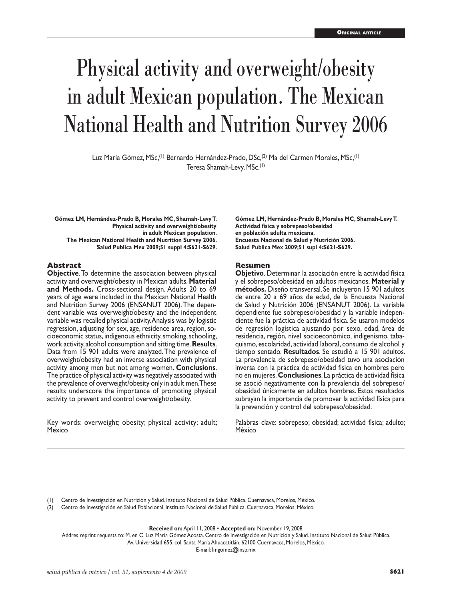# Physical activity and overweight/obesity in adult Mexican population. The Mexican National Health and Nutrition Survey 2006

Luz María Gómez, MSc,<sup>(1)</sup> Bernardo Hernández-Prado, DSc,<sup>(2)</sup> Ma del Carmen Morales, MSc,<sup>(1)</sup> Teresa Shamah-Levy, MSc.(1)

**Gómez LM, Hernández-Prado B, Morales MC, Shamah-Levy T. Physical activity and overweight/obesity in adult Mexican population. The Mexican National Health and Nutrition Survey 2006. Salud Publica Mex 2009;51 suppl 4:S621-S629.**

#### **Abstract**

**Objective**. To determine the association between physical activity and overweight/obesity in Mexican adults. **Material and Methods.** Cross-sectional design. Adults 20 to 69 years of age were included in the Mexican National Health and Nutrition Survey 2006 (ENSANUT 2006). The dependent variable was overweight/obesity and the independent variable was recalled physical activity. Analysis was by logistic regression, adjusting for sex, age, residence area, region, socioeconomic status, indigenous ethnicity, smoking, schooling, work activity, alcohol consumption and sitting time. **Results**. Data from 15 901 adults were analyzed. The prevalence of overweight/obesity had an inverse association with physical activity among men but not among women. **Conclusions**. The practice of physical activity was negatively associated with the prevalence of overweight/obesity only in adult men. These results underscore the importance of promoting physical activity to prevent and control overweight/obesity.

Key words: overweight; obesity; physical activity; adult; **Mexico** 

**Gómez LM, Hernández-Prado B, Morales MC, Shamah-Levy T. Actividad física y sobrepeso/obesidad en población adulta mexicana. Encuesta Nacional de Salud y Nutrición 2006. Salud Publica Mex 2009;51 supl 4:S621-S629.**

#### **Resumen**

**Objetivo**. Determinar la asociación entre la actividad física y el sobrepeso/obesidad en adultos mexicanos. **Material y métodos.** Diseño transversal. Se incluyeron 15 901 adultos de entre 20 a 69 años de edad, de la Encuesta Nacional de Salud y Nutrición 2006 (ENSANUT 2006). La variable dependiente fue sobrepeso/obesidad y la variable independiente fue la práctica de actividad física. Se usaron modelos de regresión logística ajustando por sexo, edad, área de residencia, región, nivel socioeconómico, indigenismo, tabaquismo, escolaridad, actividad laboral, consumo de alcohol y tiempo sentado. **Resultados**. Se estudió a 15 901 adultos. La prevalencia de sobrepeso/obesidad tuvo una asociación inversa con la práctica de actividad física en hombres pero no en mujeres. **Conclusiones**. La práctica de actividad física se asoció negativamente con la prevalencia del sobrepeso/ obesidad únicamente en adultos hombres. Estos resultados subrayan la importancia de promover la actividad física para la prevención y control del sobrepeso/obesidad.

Palabras clave: sobrepeso; obesidad; actividad física; adulto; México

(1) Centro de Investigación en Nutrición y Salud. Instituto Nacional de Salud Pública. Cuernavaca, Morelos, México.

(2) Centro de Investigación en Salud Poblacional. Instituto Nacional de Salud Pública. Cuernavaca, Morelos, México.

**Received on:** April 11, 2008 • **Accepted on:** November 19, 2008

Addres reprint requests to: M. en C. Luz María Gómez Acosta. Centro de Investigación en Nutrición y Salud. Instituto Nacional de Salud Pública. Av. Universidad 655, col. Santa María Ahuacatitlán. 62100 Cuernavaca, Morelos, México.

E-mail: lmgomez@insp.mx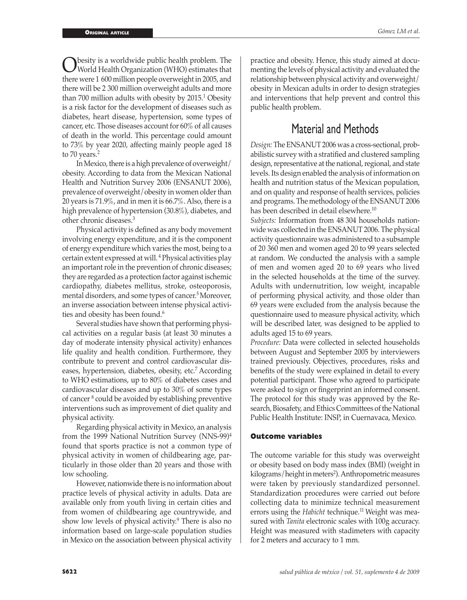Obesity is a worldwide public health problem. The<br>World Health Organization (WHO) estimates that<br>there were 1.600 million needle exergusiebt in 2005, and there were 1 600 million people overweight in 2005, and there will be 2 300 million overweight adults and more than 700 million adults with obesity by 2015.<sup>1</sup> Obesity is a risk factor for the development of diseases such as diabetes, heart disease, hypertension, some types of cancer, etc. Those diseases account for 60% of all causes of death in the world. This percentage could amount to 73% by year 2020, affecting mainly people aged 18 to 70 years.<sup>2</sup>

In Mexico, there is a high prevalence of overweight/ obesity. According to data from the Mexican National Health and Nutrition Survey 2006 (ENSANUT 2006), prevalence of overweight/obesity in women older than 20 years is 71.9%, and in men it is 66.7%. Also, there is a high prevalence of hypertension (30.8%), diabetes, and other chronic diseases.3

 Physical activity is defined as any body movement involving energy expenditure, and it is the component of energy expenditure which varies the most, being to a certain extent expressed at will. 4 Physical activities play an important role in the prevention of chronic diseases; they are regarded as a protection factor against ischemic cardiopathy, diabetes mellitus, stroke, osteoporosis, mental disorders, and some types of cancer.<sup>5</sup> Moreover, an inverse association between intense physical activities and obesity has been found.<sup>6</sup>

Several studies have shown that performing physical activities on a regular basis (at least 30 minutes a day of moderate intensity physical activity) enhances life quality and health condition. Furthermore, they contribute to prevent and control cardiovascular diseases, hypertension, diabetes, obesity, etc.<sup>7</sup> According to WHO estimations, up to 80% of diabetes cases and cardiovascular diseases and up to 30% of some types of cancer <sup>8</sup> could be avoided by establishing preventive interventions such as improvement of diet quality and physical activity.

Regarding physical activity in Mexico, an analysis from the 1999 National Nutrition Survey (NNS-99)<sup>4</sup> found that sports practice is not a common type of physical activity in women of childbearing age, particularly in those older than 20 years and those with low schooling.

However, nationwide there is no information about practice levels of physical activity in adults. Data are available only from youth living in certain cities and from women of childbearing age countrywide, and show low levels of physical activity.<sup>9</sup> There is also no information based on large-scale population studies in Mexico on the association between physical activity

practice and obesity. Hence, this study aimed at documenting the levels of physical activity and evaluated the relationship between physical activity and overweight/ obesity in Mexican adults in order to design strategies and interventions that help prevent and control this public health problem.

# Material and Methods

*Design:* The ENSANUT 2006 was a cross-sectional, probabilistic survey with a stratified and clustered sampling design, representative at the national, regional, and state levels. Its design enabled the analysis of information on health and nutrition status of the Mexican population, and on quality and response of health services, policies and programs. The methodology of the ENSANUT 2006 has been described in detail elsewhere.<sup>10</sup>

*Subjects:* Information from 48 304 households nationwide was collected in the ENSANUT 2006. The physical activity questionnaire was administered to a subsample of 20 360 men and women aged 20 to 99 years selected at random. We conducted the analysis with a sample of men and women aged 20 to 69 years who lived in the selected households at the time of the survey. Adults with undernutrition, low weight, incapable of performing physical activity, and those older than 69 years were excluded from the analysis because the questionnaire used to measure physical activity, which will be described later, was designed to be applied to adults aged 15 to 69 years.

*Procedure:* Data were collected in selected households between August and September 2005 by interviewers trained previously. Objectives, procedures, risks and benefits of the study were explained in detail to every potential participant. Those who agreed to participate were asked to sign or fingerprint an informed consent. The protocol for this study was approved by the Research, Biosafety, and Ethics Committees of the National Public Health Institute: INSP, in Cuernavaca, Mexico.

#### **Outcome variables**

The outcome variable for this study was overweight or obesity based on body mass index (BMI) (weight in kilograms/height in meters<sup>2</sup>). Anthropometric measures were taken by previously standardized personnel. Standardization procedures were carried out before collecting data to minimize technical measurement errors using the *Habicht* technique.<sup>11</sup> Weight was measured with *Tanita* electronic scales with 100g accuracy. Height was measured with stadimeters with capacity for 2 meters and accuracy to 1 mm.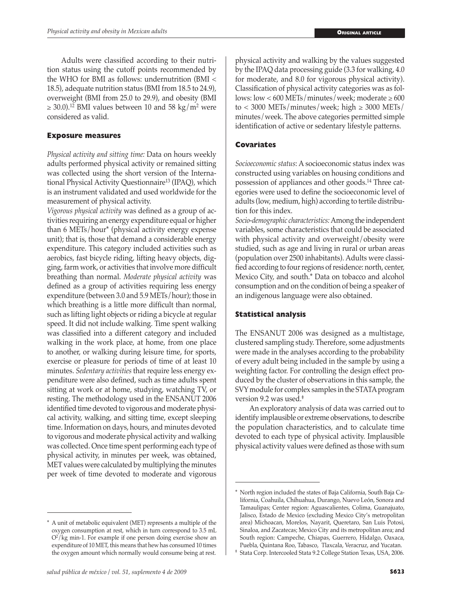Adults were classified according to their nutrition status using the cutoff points recommended by the WHO for BMI as follows: undernutrition (BMI < 18.5), adequate nutrition status (BMI from 18.5 to 24.9), overweight (BMI from 25.0 to 29.9), and obesity (BMI  $\geq$  30.0).<sup>12</sup> BMI values between 10 and 58 kg/m<sup>2</sup> were considered as valid.

## **Exposure measures**

*Physical activity and sitting time:* Data on hours weekly adults performed physical activity or remained sitting was collected using the short version of the International Physical Activity Questionnaire<sup>13</sup> (IPAQ), which is an instrument validated and used worldwide for the measurement of physical activity.

*Vigorous physical activity* was defined as a group of activities requiring an energy expenditure equal or higher than 6 METs/hour\* (physical activity energy expense unit); that is, those that demand a considerable energy expenditure. This category included activities such as aerobics, fast bicycle riding, lifting heavy objects, digging, farm work, or activities that involve more difficult breathing than normal. *Moderate physical activity* was defined as a group of activities requiring less energy expenditure (between 3.0 and 5.9 METs/hour); those in which breathing is a little more difficult than normal, such as lifting light objects or riding a bicycle at regular speed. It did not include walking. Time spent walking was classified into a different category and included walking in the work place, at home, from one place to another, or walking during leisure time, for sports, exercise or pleasure for periods of time of at least 10 minutes. *Sedentary activities* that require less energy expenditure were also defined, such as time adults spent sitting at work or at home, studying, watching TV, or resting. The methodology used in the ENSANUT 2006 identified time devoted to vigorous and moderate physical activity, walking, and sitting time, except sleeping time. Information on days, hours, and minutes devoted to vigorous and moderate physical activity and walking was collected. Once time spent performing each type of physical activity, in minutes per week, was obtained, MET values were calculated by multiplying the minutes per week of time devoted to moderate and vigorous

physical activity and walking by the values suggested by the IPAQ data processing guide (3.3 for walking, 4.0 for moderate, and 8.0 for vigorous physical activity). Classification of physical activity categories was as follows:  $\text{low}$  < 600 METs/minutes/week; moderate  $\geq$  600 to < 3000 METs/minutes/week; high  $\geq$  3000 METs/ minutes/week. The above categories permitted simple identification of active or sedentary lifestyle patterns.

## **Covariates**

*Socioeconomic status*: A socioeconomic status index was constructed using variables on housing conditions and possession of appliances and other goods.14 Three categories were used to define the socioeconomic level of adults (low, medium, high) according to tertile distribution for this index.

*Socio-demographic characteristics:* Among the independent variables, some characteristics that could be associated with physical activity and overweight/obesity were studied, such as age and living in rural or urban areas (population over 2500 inhabitants). Adults were classified according to four regions of residence: north, center, Mexico City, and south.\* Data on tobacco and alcohol consumption and on the condition of being a speaker of an indigenous language were also obtained.

## **Statistical analysis**

The ENSANUT 2006 was designed as a multistage, clustered sampling study. Therefore, some adjustments were made in the analyses according to the probability of every adult being included in the sample by using a weighting factor. For controlling the design effect produced by the cluster of observations in this sample, the SVY module for complex samples in the STATA program version 9.2 was used.‡

An exploratory analysis of data was carried out to identify implausible or extreme observations, to describe the population characteristics, and to calculate time devoted to each type of physical activity. Implausible physical activity values were defined as those with sum

<sup>\*</sup> A unit of metabolic equivalent (MET) represents a multiple of the oxygen consumption at rest, which in turn correspond to 3.5 mL  $O^2$ /kg min-1. For example if one person doing exercise show an expenditure of 10 MET, this means that hew has consumed 10 times the oxygen amount which normally would consume being at rest.

<sup>\*</sup> North region included the states of Baja California, South Baja California, Coahuila, Chihuahua, Durango, Nuevo León, Sonora and Tamaulipas; Center region: Aguascalientes, Colima, Guanajuato, Jalisco, Estado de Mexico (excluding Mexico City's metropolitan area) Michoacan, Morelos, Nayarit, Queretaro, San Luis Potosi, Sinaloa, and Zacatecas; Mexico City and its metropolitan area; and South region: Campeche, Chiapas, Guerrero, Hidalgo, Oaxaca, Puebla, Quintana Roo, Tabasco, Tlaxcala, Veracruz, and Yucatan.

<sup>‡</sup> Stata Corp. Intercooled Stata 9.2 College Station Texas, USA, 2006.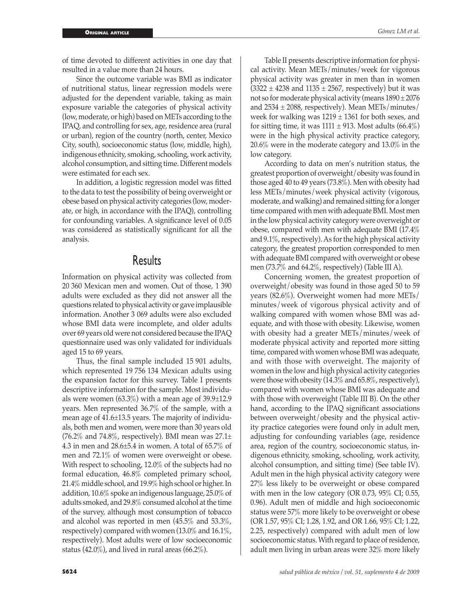of time devoted to different activities in one day that resulted in a value more than 24 hours.

Since the outcome variable was BMI as indicator of nutritional status, linear regression models were adjusted for the dependent variable, taking as main exposure variable the categories of physical activity (low, moderate, or high) based on METs according to the IPAQ, and controlling for sex, age, residence area (rural or urban), region of the country (north, center, Mexico City, south), socioeconomic status (low, middle, high), indigenous ethnicity, smoking, schooling, work activity, alcohol consumption, and sitting time. Different models were estimated for each sex.

 In addition, a logistic regression model was fitted to the data to test the possibility of being overweight or obese based on physical activity categories (low, moderate, or high, in accordance with the IPAQ), controlling for confounding variables. A significance level of 0.05 was considered as statistically significant for all the analysis.

## **Results**

Information on physical activity was collected from 20 360 Mexican men and women. Out of those, 1 390 adults were excluded as they did not answer all the questions related to physical activity or gave implausible information. Another 3 069 adults were also excluded whose BMI data were incomplete, and older adults over 69 years old were not considered because the IPAQ questionnaire used was only validated for individuals aged 15 to 69 years.

Thus, the final sample included 15 901 adults, which represented 19 756 134 Mexican adults using the expansion factor for this survey. Table I presents descriptive information for the sample. Most individuals were women (63.3%) with a mean age of 39.9±12.9 years. Men represented 36.7% of the sample, with a mean age of 41.6±13.5 years. The majority of individuals, both men and women, were more than 30 years old (76.2% and 74.8%, respectively). BMI mean was  $27.1\pm$ 4.3 in men and 28.6±5.4 in women. A total of 65.7% of men and 72.1% of women were overweight or obese. With respect to schooling, 12.0% of the subjects had no formal education, 46.8% completed primary school, 21.4% middle school, and 19.9% high school or higher. In addition, 10.6% spoke an indigenous language, 25.0% of adults smoked, and 29.8% consumed alcohol at the time of the survey, although most consumption of tobacco and alcohol was reported in men (45.5% and 53.3%, respectively) compared with women (13.0% and 16.1%, respectively). Most adults were of low socioeconomic status (42.0%), and lived in rural areas (66.2%).

Table II presents descriptive information for physical activity. Mean METs/minutes/week for vigorous physical activity was greater in men than in women  $(3322 \pm 4238$  and  $1135 \pm 2567$ , respectively) but it was not so for moderate physical activity (means 1890 ± 2076 and  $2534 \pm 2088$ , respectively). Mean METs/minutes/ week for walking was  $1219 \pm 1361$  for both sexes, and for sitting time, it was  $1111 \pm 913$ . Most adults (66.4%) were in the high physical activity practice category, 20.6% were in the moderate category and 13.0% in the low category.

According to data on men's nutrition status, the greatest proportion of overweight/obesity was found in those aged 40 to 49 years (73.8%). Men with obesity had less METs/minutes/week physical activity (vigorous, moderate, and walking) and remained sitting for a longer time compared with men with adequate BMI. Most men in the low physical activity category were overweight or obese, compared with men with adequate BMI (17.4% and 9.1%, respectively). As for the high physical activity category, the greatest proportion corresponded to men with adequate BMI compared with overweight or obese men (73.7% and 64.2%, respectively) (Table III A).

Concerning women, the greatest proportion of overweight/obesity was found in those aged 50 to 59 years (82.6%). Overweight women had more METs/ minutes/week of vigorous physical activity and of walking compared with women whose BMI was adequate, and with those with obesity. Likewise, women with obesity had a greater METs/minutes/week of moderate physical activity and reported more sitting time, compared with women whose BMI was adequate, and with those with overweight. The majority of women in the low and high physical activity categories were those with obesity (14.3% and 65.8%, respectively), compared with women whose BMI was adequate and with those with overweight (Table III B). On the other hand, according to the IPAQ significant associations between overweight/obesity and the physical activity practice categories were found only in adult men, adjusting for confounding variables (age, residence area, region of the country, socioeconomic status, indigenous ethnicity, smoking, schooling, work activity, alcohol consumption, and sitting time) (See table IV). Adult men in the high physical activity category were 27% less likely to be overweight or obese compared with men in the low category (OR 0.73, 95% CI; 0.55, 0.96). Adult men of middle and high socioeconomic status were 57% more likely to be overweight or obese (OR 1.57, 95% CI; 1.28, 1.92, and OR 1.66, 95% CI; 1.22, 2.25, respectively) compared with adult men of low socioeconomic status. With regard to place of residence, adult men living in urban areas were 32% more likely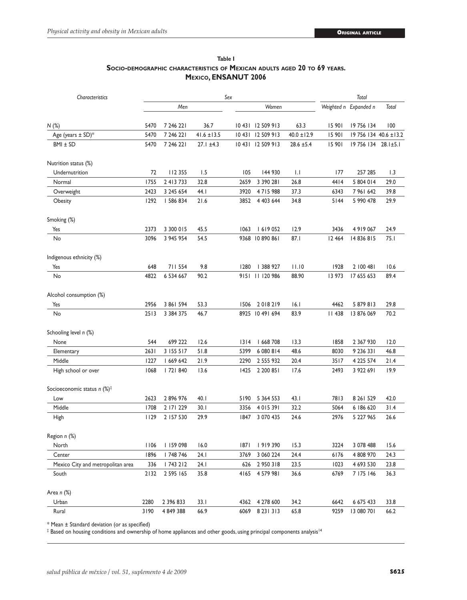| Characteristics                           | Sex  |               |                 |        |                   |                 | Total         |                       |                       |  |
|-------------------------------------------|------|---------------|-----------------|--------|-------------------|-----------------|---------------|-----------------------|-----------------------|--|
|                                           | Men  |               |                 |        | Women             |                 |               | Weighted n Expanded n | Total                 |  |
| N(%)                                      | 5470 | 7 246 221     | 36.7            |        | 10 431 12 509 913 | 63.3            | 15 901        | 19 756 134            | 100                   |  |
| Age (years $\pm$ SD)*                     | 5470 | 7 246 221     | $41.6 \pm 13.5$ |        | 10 431 12 509 913 | $40.0 \pm 12.9$ | 15 901        |                       | 19 756 134 40.6 ±13.2 |  |
| $BMI \pm SD$                              | 5470 | 7 246 221     | $27.1 \pm 4.3$  |        | 10 431 12 509 913 | $28.6 \pm 5.4$  | 15 901        | 19 756 134 28.1±5.1   |                       |  |
| Nutrition status (%)                      |      |               |                 |        |                   |                 |               |                       |                       |  |
| Undernutrition                            | 72   | 112 355       | 1.5             | 105    | 144 930           | $  \cdot  $     | 177           | 257 285               | 1.3                   |  |
| Normal                                    | 1755 | 2 4 1 3 7 3 3 | 32.8            | 2659   | 3 390 281         | 26.8            | 4414          | 5 804 014             | 29.0                  |  |
| Overweight                                | 2423 | 3 245 654     | 44.I            | 3920   | 4715988           | 37.3            | 6343          | 7 961 642             | 39.8                  |  |
| Obesity                                   | 1292 | 586 834       | 21.6            | 3852   | 4 403 644         | 34.8            | $5144$        | 5 990 478             | 29.9                  |  |
| Smoking (%)                               |      |               |                 |        |                   |                 |               |                       |                       |  |
| Yes                                       | 2373 | 3 300 015     | 45.5            | 1063   | 1619052           | 12.9            | 3436          | 4 9 1 9 0 6 7         | 24.9                  |  |
| No                                        | 3096 | 3 945 954     | 54.5            |        | 9368 10 890 861   | 87.1            | 12 4 64       | 14 836 815            | 75.1                  |  |
| Indigenous ethnicity (%)                  |      |               |                 |        |                   |                 |               |                       |                       |  |
| Yes                                       | 648  | 711 554       | 9.8             | 1280   | 388 927           | 11.10           | 1928          | 2 100 481             | 10.6                  |  |
| No                                        | 4822 | 6 534 667     | 90.2            |        | 9151 11 120 986   | 88.90           | 13 973        | 17 655 653            | 89.4                  |  |
| Alcohol consumption (%)                   |      |               |                 |        |                   |                 |               |                       |                       |  |
| Yes                                       | 2956 | 3 861 594     | 53.3            | 1506   | 2018219           | 16.1            | 4462          | 5 879 813             | 29.8                  |  |
| No                                        | 2513 | 3 3 8 4 3 7 5 | 46.7            |        | 8925 10 491 694   | 83.9            | <b>II 438</b> | 13 876 069            | 70.2                  |  |
| Schooling level n (%)                     |      |               |                 |        |                   |                 |               |                       |                       |  |
| None                                      | 544  | 699 222       | 12.6            | $1314$ | 668 708           | 13.3            | 1858          | 2 3 6 7 9 3 0         | 12.0                  |  |
| Elementary                                | 2631 | 3 155 517     | 51.8            | 5399   | 6 080 814         | 48.6            | 8030          | 9 236 331             | 46.8                  |  |
| Middle                                    | 1227 | 1 669 642     | 21.9            | 2290   | 2 555 932         | 20.4            | 3517          | 4 225 574             | 21.4                  |  |
| High school or over                       | 1068 | 72  840       | 13.6            | 1425   | 2 200 851         | 17.6            | 2493          | 3 922 691             | 19.9                  |  |
| Socioeconomic status $n$ (%) <sup>‡</sup> |      |               |                 |        |                   |                 |               |                       |                       |  |
| Low                                       | 2623 | 2 896 976     | 40.1            | 5190   | 5 364 553         | 43.1            | 7813          | 8 26 1 5 29           | 42.0                  |  |
| Middle                                    | 1708 | 2 171 229     | 30.1            | 3356   | 4 0 1 5 3 9 1     | 32.2            | 5064          | 6 186 620             | 31.4                  |  |
| High                                      | 1129 | 2 157 530     | 29.9            | 1847   | 3 070 435         | 24.6            | 2976          | 5 227 965             | 26.6                  |  |
| Region n (%)                              |      |               |                 |        |                   |                 |               |                       |                       |  |
| North                                     |      | 1106 1159 098 | 16.0            |        | 1871 1919 390     | 15.3            | 3224          | 3 078 488             | 15.6                  |  |
| Center                                    | 1896 | 748 746       | 24. I           | 3769   | 3 060 224         | 24.4            | 6176          | 4 808 970             | 24.3                  |  |
| Mexico City and metropolitan area         | 336  | 743 212       | 24. I           | 626    | 2 950 318         | 23.5            | 1023          | 4 693 530             | 23.8                  |  |
| South                                     | 2132 | 2 595 165     | 35.8            |        | 4165 4579 981     | 36.6            | 6769          | 7 175 146             | 36.3                  |  |
| Area $n$ $(\%)$                           |      |               |                 |        |                   |                 |               |                       |                       |  |
| Urban                                     | 2280 | 2 396 833     | 33.1            |        | 4362 4 278 600    | 34.2            | 6642          | 6 675 433             | 33.8                  |  |
| Rural                                     | 3190 | 4 849 388     | 66.9            |        | 6069 8 23 1 3 1 3 | 65.8            | 9259          | 13 080 701            | 66.2                  |  |

**Table I Socio-demographic characteristics of Mexican adults aged 20 to 69 years. Mexico, ENSANUT 2006**

\* Mean ± Standard deviation (or as specified)

 $^\ddag$  Based on housing conditions and ownership of home appliances and other goods, using principal components analysis14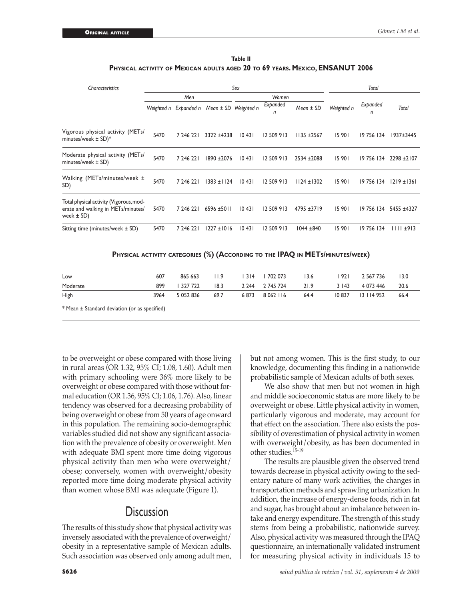| Table II                                                                      |  |
|-------------------------------------------------------------------------------|--|
| PHYSICAL ACTIVITY OF MEXICAN ADULTS AGED 20 TO 69 YEARS. MEXICO, ENSANUT 2006 |  |

| Characteristics                                                                             |                      |                      |                                            | Sex   |                     |                                                                               |                   | Total         |                        |
|---------------------------------------------------------------------------------------------|----------------------|----------------------|--------------------------------------------|-------|---------------------|-------------------------------------------------------------------------------|-------------------|---------------|------------------------|
|                                                                                             | Men                  |                      |                                            | Women |                     |                                                                               |                   |               |                        |
|                                                                                             |                      |                      | Weighted n Expanded n Mean ± SD Weighted n |       | Expanded<br>n       | $Mean \pm SD$                                                                 | Weighted n        | Expanded<br>n | <b>Total</b>           |
| Vigorous physical activity (METs/<br>minutes/week ± SD)*                                    | 5470                 | 7 246 221            | $3322 + 4238$                              | 10431 | 12 509 913          | $1135 + 2567$                                                                 | 15 901            | 19 756 134    | $1937 + 3445$          |
| Moderate physical activity (METs/<br>minutes/week ± SD)                                     | 5470                 | 7 246 221            | 1890 ±2076                                 | 10431 | 12 509 913          | $2534 + 2088$                                                                 | 15 901            |               | 19 756 134 2298 ± 2107 |
| Walking (METs/minutes/week ±<br>SD)                                                         | 5470                 | 7 246 221            | $1383 \pm 1124$                            | 10431 | 12 509 913          | $1124 \pm 1302$                                                               | 15 901            | 19 756 134    | $1219 \pm 1361$        |
| Total physical activity (Vigorous, mod-<br>erate and walking in METs/minutes/<br>week ± SD) | 5470                 | 7 246 221            | $6596 \pm 5011$                            | 10431 | 12 509 913          | $4795 + 3719$                                                                 | 15 901            |               | 19 756 134 5455 ±4327  |
| Sitting time (minutes/week ± SD)                                                            | 5470                 | 7 246 221            | $1227 \pm 1016$                            | 10431 | 12 509 913          | 1044 ±840                                                                     | 15 901            | 19 756 134    | $1111 \pm 913$         |
|                                                                                             |                      |                      |                                            |       |                     | PHYSICAL ACTIVITY CATEGORIES (%) (ACCORDING TO THE IPAQ IN METS/MINUTES/WEEK) |                   |               |                        |
|                                                                                             | $\sim$ $\sim$ $\sim$ | $\sim$ $\sim$ $\sim$ | $\cdots$                                   |       | $1.214$ $1.702.072$ | $\sim$                                                                        | $\sim$ 0.0 $\sim$ | 2.51777       |                        |

| Low                                           | 607  | 865663 11.9    |      | 314   702 073   3.6 |      |         | 921 2567736       | - 13.0 |
|-----------------------------------------------|------|----------------|------|---------------------|------|---------|-------------------|--------|
| Moderate                                      | 899  | 327 722        | 18.3 | 2 244 2 745 724     | 21.9 | 3 1 4 3 | 4 073 446         | 20.6   |
| High                                          | 3964 | 5 052 836 69.7 |      | 6873 8062116        | 64.4 |         | 10 837 13 114 952 | 66.4   |
| * Mean ± Standard deviation (or as specified) |      |                |      |                     |      |         |                   |        |

to be overweight or obese compared with those living in rural areas (OR 1.32, 95% CI; 1.08, 1.60). Adult men with primary schooling were 36% more likely to be overweight or obese compared with those without formal education (OR 1.36, 95% CI; 1.06, 1.76). Also, linear tendency was observed for a decreasing probability of being overweight or obese from 50 years of age onward in this population. The remaining socio-demographic variables studied did not show any significant association with the prevalence of obesity or overweight. Men with adequate BMI spent more time doing vigorous physical activity than men who were overweight/ obese; conversely, women with overweight/obesity reported more time doing moderate physical activity than women whose BMI was adequate (Figure 1).

# **Discussion**

The results of this study show that physical activity was inversely associated with the prevalence of overweight/ obesity in a representative sample of Mexican adults. Such association was observed only among adult men,

but not among women. This is the first study, to our knowledge, documenting this finding in a nationwide probabilistic sample of Mexican adults of both sexes.

We also show that men but not women in high and middle socioeconomic status are more likely to be overweight or obese. Little physical activity in women, particularly vigorous and moderate, may account for that effect on the association. There also exists the possibility of overestimation of physical activity in women with overweight/obesity, as has been documented in other studies.15-19

The results are plausible given the observed trend towards decrease in physical activity owing to the sedentary nature of many work activities, the changes in transportation methods and sprawling urbanization. In addition, the increase of energy-dense foods, rich in fat and sugar, has brought about an imbalance between intake and energy expenditure. The strength of this study stems from being a probabilistic, nationwide survey. Also, physical activity was measured through the IPAQ questionnaire, an internationally validated instrument for measuring physical activity in individuals 15 to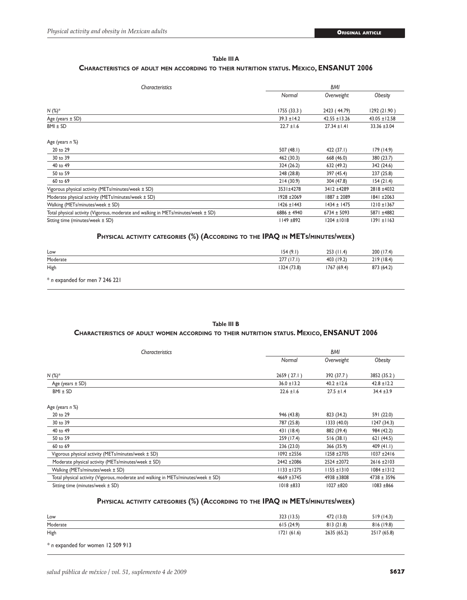#### **Table III A**

#### **Characteristics of adult men according to their nutrition status. Mexico, ENSANUT 2006**

| <b>Characteristics</b>                                                             |                 | <b>BMI</b>        |                   |  |  |  |  |
|------------------------------------------------------------------------------------|-----------------|-------------------|-------------------|--|--|--|--|
|                                                                                    | Normal          | Overweight        | <b>Obesity</b>    |  |  |  |  |
| $N$ (%) <sup>*</sup>                                                               | 1755(33.3)      | 2423 (44.79)      | 1292 (21.90)      |  |  |  |  |
| Age (years $\pm$ SD)                                                               | $39.3 \pm 14.2$ | $42.55 \pm 13.26$ | $43.05 \pm 12.58$ |  |  |  |  |
| $BMI \pm SD$                                                                       | $22.7 \pm 1.6$  | $27.34 \pm 1.41$  | $33.36 \pm 3.04$  |  |  |  |  |
| Age (years n %)                                                                    |                 |                   |                   |  |  |  |  |
| 20 to 29                                                                           | 507 $(48.1)$    | 422 (37.1)        | 179 (14.9)        |  |  |  |  |
| 30 to 39                                                                           | 462 (30.3)      | 668 (46.0)        | 380 (23.7)        |  |  |  |  |
| 40 to 49                                                                           | 324 (26.2)      | 632 (49.2)        | 342 (24.6)        |  |  |  |  |
| 50 to 59                                                                           | 248 (28.8)      | 397 (45.4)        | 237 (25.8)        |  |  |  |  |
| 60 to 69                                                                           | 214(30.9)       | 304 (47.8)        | 154(21.4)         |  |  |  |  |
| Vigorous physical activity (METs/minutes/week ± SD)                                | 3531±4278       | 3412 ±4289        | 2818 ±4032        |  |  |  |  |
| Moderate physical activity (METs/minutes/week ± SD)                                | 1928 ± 2069     | 1887 ± 2089       | 1841 ±2063        |  |  |  |  |
| Walking (METs/minutes/week ± SD)                                                   | $1426 \pm 1443$ | $1434 \pm 1475$   | $1210 \pm 1367$   |  |  |  |  |
| Total physical activity (Vigorous, moderate and walking in METs/minutes/week ± SD) | $6886 \pm 4940$ | $6734 \pm 5093$   | 5871 ±4882        |  |  |  |  |
| Sitting time (minutes/week ± SD)                                                   | II49 ±892       | $1204 \pm 1018$   | 1391 ±1163        |  |  |  |  |

#### **Physical activity categories (%) (According to the IPAQ in METs/minutes/week)**

| Low                                | 154 (9.1)   | $253$ (11.4) | 200 (17.4) |
|------------------------------------|-------------|--------------|------------|
| Moderate                           | 277(17.1)   | 403 (19.2)   | 219(18.4)  |
| High                               | 1324 (73.8) | 1767 (69.4)  | 873 (64.2) |
| $*$ n expanded for men $7.246.221$ |             |              |            |

n expanded for men 7 246 221

#### **Table III B**

#### **Characteristics of adult women according to their nutrition status. Mexico, ENSANUT 2006**

| Characteristics                                                                        |                 | <b>BMI</b>      |                 |  |
|----------------------------------------------------------------------------------------|-----------------|-----------------|-----------------|--|
|                                                                                        | Normal          | Overweight      | <b>Obesity</b>  |  |
| $N$ (%) <sup>*</sup>                                                                   | 2659 (27.1)     | 392 (37.7)      | 3852 (35.2)     |  |
| Age (years $\pm$ SD)                                                                   | $36.0 \pm 13.2$ | $40.2 \pm 12.6$ | $42.8 \pm 12.2$ |  |
| $BMI \pm SD$                                                                           | $22.6 \pm 1.6$  | $27.5 \pm 1.4$  | $34.4 \pm 3.9$  |  |
| Age (years n %)                                                                        |                 |                 |                 |  |
| 20 to 29                                                                               | 946 (43.8)      | 823 (34.2)      | 591 (22.0)      |  |
| 30 to 39                                                                               | 787 (25.8)      | 1333 (40.0)     | 1247(34.3)      |  |
| 40 to 49                                                                               | 431 (18.4)      | 882 (39.4)      | 984 (42.2)      |  |
| 50 to 59                                                                               | 259 (17.4)      | 516(38.1)       | 621(44.5)       |  |
| 60 to 69                                                                               | 236(23.0)       | 366 (35.9)      | 409(41.1)       |  |
| Vigorous physical activity (METs/minutes/week ± SD)                                    | 1092 ±2556      | 1258 ±2705      | $1037 + 2416$   |  |
| Moderate physical activity (METs/minutes/week ± SD)                                    | 2442 ± 2086     | 2524 ± 2072     | $2616 + 2103$   |  |
| Walking (METs/minutes/week ± SD)                                                       | $1133 \pm 1275$ | $1155 \pm 1310$ | $1084 \pm 1312$ |  |
| Total physical activity (Vigorous, moderate and walking in METs/minutes/week $\pm$ SD) | 4669 ±3745      | 4938 ±3808      | $4738 \pm 3596$ |  |
| Sitting time (minutes/week ± SD)                                                       | 1018 ±833       | 1027 ±820       | 1083 ±866       |  |

#### **Physical activity categories (%) (According to the IPAQ in METs/minutes/week)**

| Low      | 323 (13.5) | 472 (13.0)  | 519(14.3)   |
|----------|------------|-------------|-------------|
| Moderate | 615(24.9)  | 813(21.8)   | (19.8)      |
| High     | 1721(61.6) | 2635 (65.2) | 2517 (65.8) |

*\* n* expanded for women 12 509 913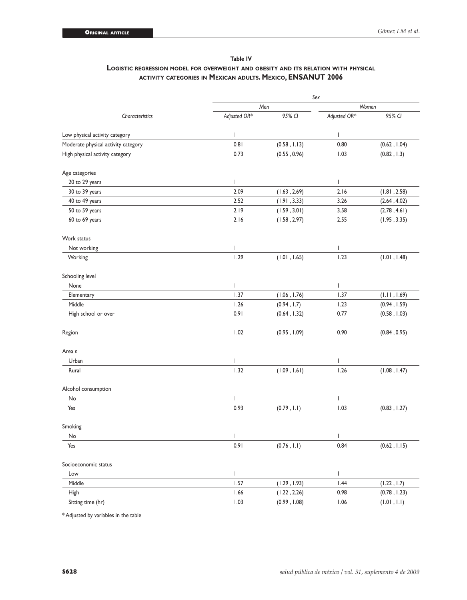### **Table IV Logistic regression model for overweight and obesity and its relation with physical activity categories in Mexican adults. Mexico, ENSANUT 2006**

|                                     |              | Sex          |                |              |  |  |  |  |  |
|-------------------------------------|--------------|--------------|----------------|--------------|--|--|--|--|--|
|                                     | Men          |              | Women          |              |  |  |  |  |  |
| Characteristics                     | Adjusted OR* | 95% CI       | Adjusted OR*   | 95% CI       |  |  |  |  |  |
| Low physical activity category      | $\mathbf{I}$ |              | I              |              |  |  |  |  |  |
| Moderate physical activity category | 0.81         | (0.58, 1.13) | 0.80           | (0.62, 1.04) |  |  |  |  |  |
| High physical activity category     | 0.73         | (0.55, 0.96) | 1.03           | (0.82, 1.3)  |  |  |  |  |  |
| Age categories                      |              |              |                |              |  |  |  |  |  |
| 20 to 29 years                      | $\mathbf{I}$ |              | $\overline{1}$ |              |  |  |  |  |  |
| 30 to 39 years                      | 2.09         | (1.63, 2.69) | 2.16           | (1.81, 2.58) |  |  |  |  |  |
| 40 to 49 years                      | 2.52         | (1.91, 3.33) | 3.26           | (2.64, 4.02) |  |  |  |  |  |
| 50 to 59 years                      | 2.19         | (1.59, 3.01) | 3.58           | (2.78, 4.61) |  |  |  |  |  |
| 60 to 69 years                      | 2.16         | (1.58, 2.97) | 2.55           | (1.95, 3.35) |  |  |  |  |  |
| Work status                         |              |              |                |              |  |  |  |  |  |
| Not working                         | I            |              | I              |              |  |  |  |  |  |
| Working                             | 1.29         | (1.01, 1.65) | 1.23           | (1.01, 1.48) |  |  |  |  |  |
| Schooling level                     |              |              |                |              |  |  |  |  |  |
| None                                | L            |              | I              |              |  |  |  |  |  |
| Elementary                          | 1.37         | (1.06, 1.76) | 1.37           | (1.11, 1.69) |  |  |  |  |  |
| Middle                              | 1.26         | (0.94, 1.7)  | 1.23           | (0.94, 1.59) |  |  |  |  |  |
| High school or over                 | 0.91         | (0.64, 1.32) | 0.77           | (0.58, 1.03) |  |  |  |  |  |
| Region                              | 1.02         | (0.95, 1.09) | 0.90           | (0.84, 0.95) |  |  |  |  |  |
| Area n                              |              |              |                |              |  |  |  |  |  |
| Urban                               | T            |              | T              |              |  |  |  |  |  |
| Rural                               | 1.32         | (1.09, 1.61) | 1.26           | (1.08, 1.47) |  |  |  |  |  |
| Alcohol consumption                 |              |              |                |              |  |  |  |  |  |
| No                                  | T            |              | T              |              |  |  |  |  |  |
| Yes                                 | 0.93         | (0.79, 1.1)  | 1.03           | (0.83, 1.27) |  |  |  |  |  |
| Smoking                             |              |              |                |              |  |  |  |  |  |
| No                                  | I            |              | I              |              |  |  |  |  |  |
| Yes                                 | 0.91         | (0.76, 1.1)  | 0.84           | (0.62, 1.15) |  |  |  |  |  |
| Socioeconomic status                |              |              |                |              |  |  |  |  |  |
| Low                                 | L            |              | $\mathsf{L}$   |              |  |  |  |  |  |
| Middle                              | 1.57         | (1.29, 1.93) | 1.44           | (1.22, 1.7)  |  |  |  |  |  |
| High                                | 1.66         | (1.22, 2.26) | 0.98           | (0.78, 1.23) |  |  |  |  |  |
| Sitting time (hr)                   | 1.03         | (0.99, 1.08) | 1.06           | (1.01, 1.1)  |  |  |  |  |  |